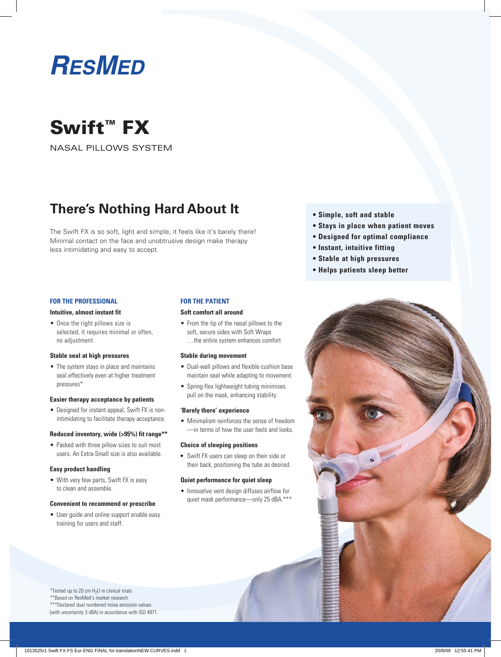

Swift™ FX

NASAL PILLOWS SYSTEM

# **There's Nothing Hard About It**

The Swift FX is so soft, light and simple, it feels like it's barely there! Minimal contact on the face and unobtrusive design make therapy less intimidating and easy to accept.

## **FOR THE PROFESSIONAL**

## **Intuitive, almost instant fit**

• Once the right pillows size is selected, it requires minimal or often, no adjustment.

# **Stable seal at high pressures**

• The system stays in place and maintains seal effectively even at higher treatment pressures\*

## **Easier therapy acceptance by patients**

• Designed for instant appeal, Swift FX is nonintimidating to facilitate therapy acceptance.

#### **Reduced inventory, wide (>95%) fit range\*\***

• Packed with three pillow sizes to suit most users. An Extra-Small size is also available.

## **Easy product handling**

• With very few parts, Swift FX is easy to clean and assemble.

## **Convenient to recommend or prescribe**

• User guide and online support enable easy training for users and staff.

# **FOR THE PATIENT**

# **Soft comfort all around**

• From the tip of the nasal pillows to the soft, secure sides with Soft Wraps …the entire system enhances comfort

## **Stable during movement**

- Dual-wall pillows and flexible cushion base maintain seal while adapting to movement.
- Spring-flex lightweight tubing minimises pull on the mask, enhancing stability.

## **'Barely there' experience**

• Minimalism reinforces the sense of freedom —in terms of how the user feels and looks.

# **Choice of sleeping positions**

**•** Swift FX users can sleep on their side or their back, positioning the tube as desired.

## **Quiet performance for quiet sleep**

• Innovative vent design diffuses airflow for quiet mask performance—only 25 dBA.\*\*\*

- **• Simple, soft and stable**
- **Stays in place when patient moves**
- **Designed for optimal compliance**
- **Instant, intuitive fitting**
- **Stable at high pressures**
- **Helps patients sleep better**



\*Tested up to 20 cm  $H<sub>2</sub>$ O in clinical trials \*\*Based on ResMed's market research \*\*\*Declared dual numbered noise emission values (with uncertainty 3 dBA) in accordance with ISO 4871.